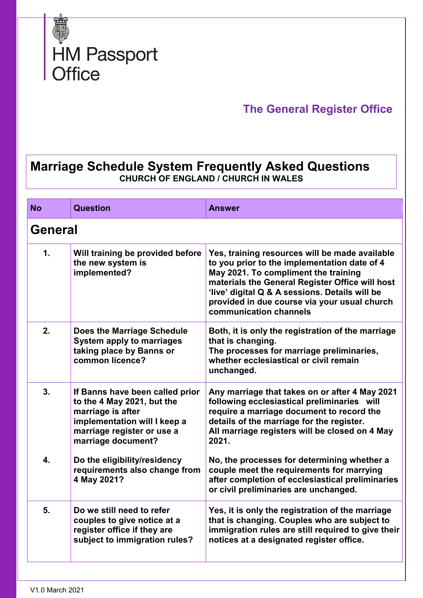

## **The General Register Office**

## **Marriage Schedule System Frequently Asked Questions CHURCH OF ENGLAND / CHURCH IN WALES**

| <b>No</b> | Question                                                                                                                                                               | <b>Answer</b>                                                                                                                                                                                                                                                                                                         |  |
|-----------|------------------------------------------------------------------------------------------------------------------------------------------------------------------------|-----------------------------------------------------------------------------------------------------------------------------------------------------------------------------------------------------------------------------------------------------------------------------------------------------------------------|--|
|           | <b>General</b>                                                                                                                                                         |                                                                                                                                                                                                                                                                                                                       |  |
| 1.        | Will training be provided before<br>the new system is<br>implemented?                                                                                                  | Yes, training resources will be made available<br>to you prior to the implementation date of 4<br>May 2021. To compliment the training<br>materials the General Register Office will host<br>'live' digital Q & A sessions. Details will be<br>provided in due course via your usual church<br>communication channels |  |
| 2.        | <b>Does the Marriage Schedule</b><br><b>System apply to marriages</b><br>taking place by Banns or<br>common licence?                                                   | Both, it is only the registration of the marriage<br>that is changing.<br>The processes for marriage preliminaries,<br>whether ecclesiastical or civil remain<br>unchanged.                                                                                                                                           |  |
| 3.        | If Banns have been called prior<br>to the 4 May 2021, but the<br>marriage is after<br>implementation will I keep a<br>marriage register or use a<br>marriage document? | Any marriage that takes on or after 4 May 2021<br>following ecclesiastical preliminaries will<br>require a marriage document to record the<br>details of the marriage for the register.<br>All marriage registers will be closed on 4 May<br>2021.                                                                    |  |
| 4.        | Do the eligibility/residency<br>requirements also change from<br>4 May 2021?                                                                                           | No, the processes for determining whether a<br>couple meet the requirements for marrying<br>after completion of ecclesiastical preliminaries<br>or civil preliminaries are unchanged.                                                                                                                                 |  |
| 5.        | Do we still need to refer<br>couples to give notice at a<br>register office if they are<br>subject to immigration rules?                                               | Yes, it is only the registration of the marriage<br>that is changing. Couples who are subject to<br>immigration rules are still required to give their<br>notices at a designated register office.                                                                                                                    |  |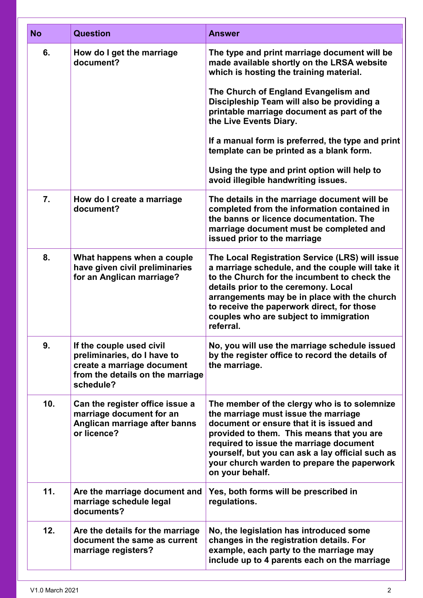| <b>No</b> | <b>Question</b>                                                                                                                        | Answer                                                                                                                                                                                                                                                                                                                                                                                                                                                                                      |
|-----------|----------------------------------------------------------------------------------------------------------------------------------------|---------------------------------------------------------------------------------------------------------------------------------------------------------------------------------------------------------------------------------------------------------------------------------------------------------------------------------------------------------------------------------------------------------------------------------------------------------------------------------------------|
| 6.        | How do I get the marriage<br>document?                                                                                                 | The type and print marriage document will be<br>made available shortly on the LRSA website<br>which is hosting the training material.<br>The Church of England Evangelism and<br>Discipleship Team will also be providing a<br>printable marriage document as part of the<br>the Live Events Diary.<br>If a manual form is preferred, the type and print<br>template can be printed as a blank form.<br>Using the type and print option will help to<br>avoid illegible handwriting issues. |
| 7.        | How do I create a marriage<br>document?                                                                                                | The details in the marriage document will be<br>completed from the information contained in<br>the banns or licence documentation. The<br>marriage document must be completed and<br>issued prior to the marriage                                                                                                                                                                                                                                                                           |
| 8.        | What happens when a couple<br>have given civil preliminaries<br>for an Anglican marriage?                                              | The Local Registration Service (LRS) will issue<br>a marriage schedule, and the couple will take it<br>to the Church for the incumbent to check the<br>details prior to the ceremony. Local<br>arrangements may be in place with the church<br>to receive the paperwork direct, for those<br>couples who are subject to immigration<br>referral.                                                                                                                                            |
| 9.        | If the couple used civil<br>preliminaries, do I have to<br>create a marriage document<br>from the details on the marriage<br>schedule? | No, you will use the marriage schedule issued<br>by the register office to record the details of<br>the marriage.                                                                                                                                                                                                                                                                                                                                                                           |
| 10.       | Can the register office issue a<br>marriage document for an<br>Anglican marriage after banns<br>or licence?                            | The member of the clergy who is to solemnize<br>the marriage must issue the marriage<br>document or ensure that it is issued and<br>provided to them. This means that you are<br>required to issue the marriage document<br>yourself, but you can ask a lay official such as<br>your church warden to prepare the paperwork<br>on your behalf.                                                                                                                                              |
| 11.       | Are the marriage document and<br>marriage schedule legal<br>documents?                                                                 | Yes, both forms will be prescribed in<br>regulations.                                                                                                                                                                                                                                                                                                                                                                                                                                       |
| 12.       | Are the details for the marriage<br>document the same as current<br>marriage registers?                                                | No, the legislation has introduced some<br>changes in the registration details. For<br>example, each party to the marriage may<br>include up to 4 parents each on the marriage                                                                                                                                                                                                                                                                                                              |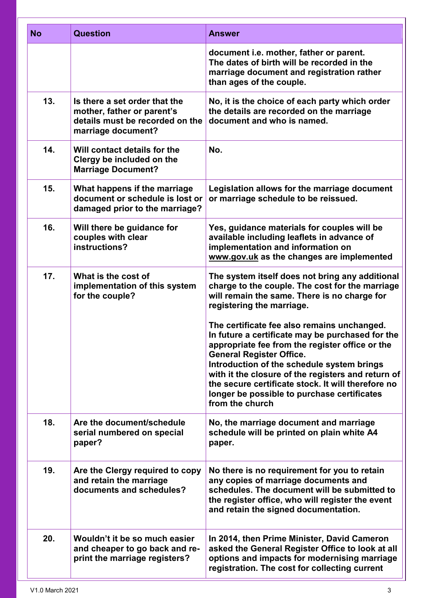| <b>No</b> | <b>Question</b>                                                                                                      | <b>Answer</b>                                                                                                                                                                                                                                                                                                                                                                                                     |
|-----------|----------------------------------------------------------------------------------------------------------------------|-------------------------------------------------------------------------------------------------------------------------------------------------------------------------------------------------------------------------------------------------------------------------------------------------------------------------------------------------------------------------------------------------------------------|
|           |                                                                                                                      | document i.e. mother, father or parent.<br>The dates of birth will be recorded in the<br>marriage document and registration rather<br>than ages of the couple.                                                                                                                                                                                                                                                    |
| 13.       | Is there a set order that the<br>mother, father or parent's<br>details must be recorded on the<br>marriage document? | No, it is the choice of each party which order<br>the details are recorded on the marriage<br>document and who is named.                                                                                                                                                                                                                                                                                          |
| 14.       | Will contact details for the<br>Clergy be included on the<br><b>Marriage Document?</b>                               | No.                                                                                                                                                                                                                                                                                                                                                                                                               |
| 15.       | What happens if the marriage<br>document or schedule is lost or<br>damaged prior to the marriage?                    | Legislation allows for the marriage document<br>or marriage schedule to be reissued.                                                                                                                                                                                                                                                                                                                              |
| 16.       | Will there be guidance for<br>couples with clear<br>instructions?                                                    | Yes, guidance materials for couples will be<br>available including leaflets in advance of<br>implementation and information on<br>www.gov.uk as the changes are implemented                                                                                                                                                                                                                                       |
| 17.       | What is the cost of<br>implementation of this system<br>for the couple?                                              | The system itself does not bring any additional<br>charge to the couple. The cost for the marriage<br>will remain the same. There is no charge for<br>registering the marriage.                                                                                                                                                                                                                                   |
|           |                                                                                                                      | The certificate fee also remains unchanged.<br>In future a certificate may be purchased for the<br>appropriate fee from the register office or the<br><b>General Register Office.</b><br>Introduction of the schedule system brings<br>with it the closure of the registers and return of<br>the secure certificate stock. It will therefore no<br>longer be possible to purchase certificates<br>from the church |
| 18.       | Are the document/schedule<br>serial numbered on special<br>paper?                                                    | No, the marriage document and marriage<br>schedule will be printed on plain white A4<br>paper.                                                                                                                                                                                                                                                                                                                    |
| 19.       | Are the Clergy required to copy<br>and retain the marriage<br>documents and schedules?                               | No there is no requirement for you to retain<br>any copies of marriage documents and<br>schedules. The document will be submitted to<br>the register office, who will register the event<br>and retain the signed documentation.                                                                                                                                                                                  |
| 20.       | Wouldn't it be so much easier<br>and cheaper to go back and re-<br>print the marriage registers?                     | In 2014, then Prime Minister, David Cameron<br>asked the General Register Office to look at all<br>options and impacts for modernising marriage<br>registration. The cost for collecting current                                                                                                                                                                                                                  |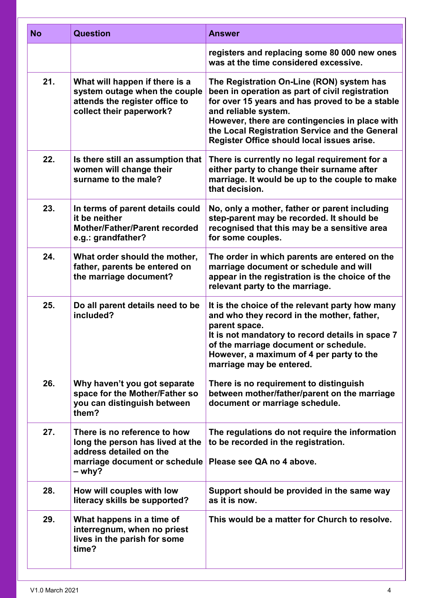| <b>No</b> | <b>Question</b>                                                                                                                        | <b>Answer</b>                                                                                                                                                                                                                                                                                                             |
|-----------|----------------------------------------------------------------------------------------------------------------------------------------|---------------------------------------------------------------------------------------------------------------------------------------------------------------------------------------------------------------------------------------------------------------------------------------------------------------------------|
|           |                                                                                                                                        | registers and replacing some 80 000 new ones<br>was at the time considered excessive.                                                                                                                                                                                                                                     |
| 21.       | What will happen if there is a<br>system outage when the couple<br>attends the register office to<br>collect their paperwork?          | The Registration On-Line (RON) system has<br>been in operation as part of civil registration<br>for over 15 years and has proved to be a stable<br>and reliable system.<br>However, there are contingencies in place with<br>the Local Registration Service and the General<br>Register Office should local issues arise. |
| 22.       | Is there still an assumption that<br>women will change their<br>surname to the male?                                                   | There is currently no legal requirement for a<br>either party to change their surname after<br>marriage. It would be up to the couple to make<br>that decision.                                                                                                                                                           |
| 23.       | In terms of parent details could<br>it be neither<br><b>Mother/Father/Parent recorded</b><br>e.g.: grandfather?                        | No, only a mother, father or parent including<br>step-parent may be recorded. It should be<br>recognised that this may be a sensitive area<br>for some couples.                                                                                                                                                           |
| 24.       | What order should the mother,<br>father, parents be entered on<br>the marriage document?                                               | The order in which parents are entered on the<br>marriage document or schedule and will<br>appear in the registration is the choice of the<br>relevant party to the marriage.                                                                                                                                             |
| 25.       | Do all parent details need to be<br>included?                                                                                          | It is the choice of the relevant party how many<br>and who they record in the mother, father,<br>parent space.<br>It is not mandatory to record details in space 7<br>of the marriage document or schedule.<br>However, a maximum of 4 per party to the<br>marriage may be entered.                                       |
| 26.       | Why haven't you got separate<br>space for the Mother/Father so<br>you can distinguish between<br>them?                                 | There is no requirement to distinguish<br>between mother/father/parent on the marriage<br>document or marriage schedule.                                                                                                                                                                                                  |
| 27.       | There is no reference to how<br>long the person has lived at the<br>address detailed on the<br>marriage document or schedule<br>– why? | The regulations do not require the information<br>to be recorded in the registration.<br>Please see QA no 4 above.                                                                                                                                                                                                        |
| 28.       | How will couples with low<br>literacy skills be supported?                                                                             | Support should be provided in the same way<br>as it is now.                                                                                                                                                                                                                                                               |
| 29.       | What happens in a time of<br>interregnum, when no priest<br>lives in the parish for some<br>time?                                      | This would be a matter for Church to resolve.                                                                                                                                                                                                                                                                             |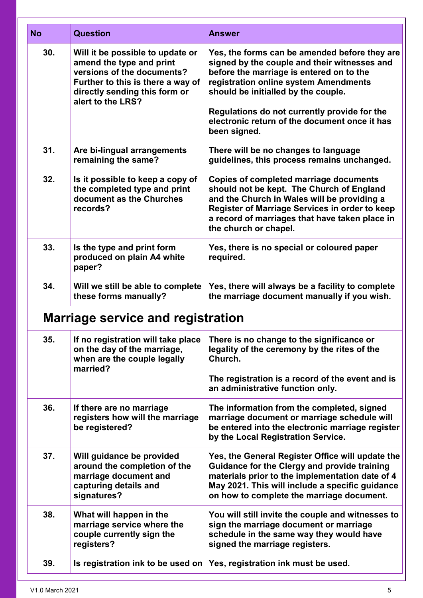| <b>No</b> | <b>Question</b>                                                                                                                                                                       | Answer                                                                                                                                                                                                                                                                                                                                     |
|-----------|---------------------------------------------------------------------------------------------------------------------------------------------------------------------------------------|--------------------------------------------------------------------------------------------------------------------------------------------------------------------------------------------------------------------------------------------------------------------------------------------------------------------------------------------|
| 30.       | Will it be possible to update or<br>amend the type and print<br>versions of the documents?<br>Further to this is there a way of<br>directly sending this form or<br>alert to the LRS? | Yes, the forms can be amended before they are<br>signed by the couple and their witnesses and<br>before the marriage is entered on to the<br>registration online system Amendments<br>should be initialled by the couple.<br>Regulations do not currently provide for the<br>electronic return of the document once it has<br>been signed. |
| 31.       | Are bi-lingual arrangements<br>remaining the same?                                                                                                                                    | There will be no changes to language<br>guidelines, this process remains unchanged.                                                                                                                                                                                                                                                        |
| 32.       | Is it possible to keep a copy of<br>the completed type and print<br>document as the Churches<br>records?                                                                              | <b>Copies of completed marriage documents</b><br>should not be kept. The Church of England<br>and the Church in Wales will be providing a<br>Register of Marriage Services in order to keep<br>a record of marriages that have taken place in<br>the church or chapel.                                                                     |
| 33.       | Is the type and print form<br>produced on plain A4 white<br>paper?                                                                                                                    | Yes, there is no special or coloured paper<br>required.                                                                                                                                                                                                                                                                                    |
| 34.       | Will we still be able to complete<br>these forms manually?                                                                                                                            | Yes, there will always be a facility to complete<br>the marriage document manually if you wish.                                                                                                                                                                                                                                            |
|           | <b>Marriage service and registration</b>                                                                                                                                              |                                                                                                                                                                                                                                                                                                                                            |
| 35.       | If no registration will take place<br>on the day of the marriage,<br>when are the couple legally<br>married?                                                                          | There is no change to the significance or<br>legality of the ceremony by the rites of the<br>Church.<br>The registration is a record of the event and is<br>an administrative function only.                                                                                                                                               |
| 36.       | If there are no marriage<br>registers how will the marriage<br>be registered?                                                                                                         | The information from the completed, signed<br>marriage document or marriage schedule will<br>be entered into the electronic marriage register<br>by the Local Registration Service.                                                                                                                                                        |
| 37.       | Will guidance be provided<br>around the completion of the<br>marriage document and<br>capturing details and<br>signatures?                                                            | Yes, the General Register Office will update the<br>Guidance for the Clergy and provide training<br>materials prior to the implementation date of 4<br>May 2021. This will include a specific guidance<br>on how to complete the marriage document.                                                                                        |
| 38.       | What will happen in the<br>marriage service where the<br>couple currently sign the<br>registers?                                                                                      | You will still invite the couple and witnesses to<br>sign the marriage document or marriage<br>schedule in the same way they would have<br>signed the marriage registers.                                                                                                                                                                  |
| 39.       | Is registration ink to be used on                                                                                                                                                     | Yes, registration ink must be used.                                                                                                                                                                                                                                                                                                        |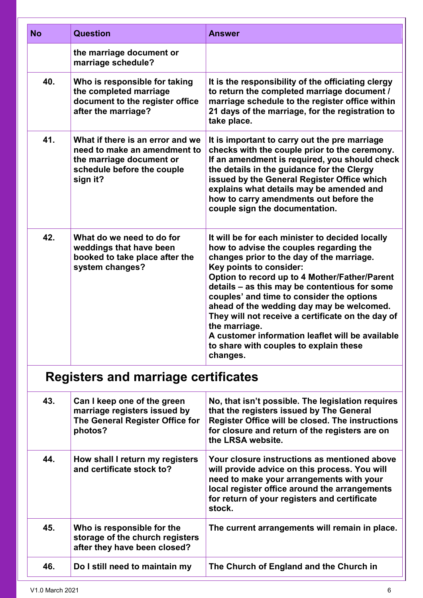| <b>No</b>                           | <b>Question</b>                                                                                                                                                     | Answer                                                                                                                                                                                                                                                                                                                                                                                                                                                                                                                                         |  |
|-------------------------------------|---------------------------------------------------------------------------------------------------------------------------------------------------------------------|------------------------------------------------------------------------------------------------------------------------------------------------------------------------------------------------------------------------------------------------------------------------------------------------------------------------------------------------------------------------------------------------------------------------------------------------------------------------------------------------------------------------------------------------|--|
| 40.                                 | the marriage document or<br>marriage schedule?<br>Who is responsible for taking<br>the completed marriage<br>document to the register office<br>after the marriage? | It is the responsibility of the officiating clergy<br>to return the completed marriage document /<br>marriage schedule to the register office within<br>21 days of the marriage, for the registration to<br>take place.                                                                                                                                                                                                                                                                                                                        |  |
| 41.                                 | What if there is an error and we<br>need to make an amendment to<br>the marriage document or<br>schedule before the couple<br>sign it?                              | It is important to carry out the pre marriage<br>checks with the couple prior to the ceremony.<br>If an amendment is required, you should check<br>the details in the guidance for the Clergy<br>issued by the General Register Office which<br>explains what details may be amended and<br>how to carry amendments out before the<br>couple sign the documentation.                                                                                                                                                                           |  |
| 42.                                 | What do we need to do for<br>weddings that have been<br>booked to take place after the<br>system changes?                                                           | It will be for each minister to decided locally<br>how to advise the couples regarding the<br>changes prior to the day of the marriage.<br>Key points to consider:<br>Option to record up to 4 Mother/Father/Parent<br>details - as this may be contentious for some<br>couples' and time to consider the options<br>ahead of the wedding day may be welcomed.<br>They will not receive a certificate on the day of<br>the marriage.<br>A customer information leaflet will be available<br>to share with couples to explain these<br>changes. |  |
| Registers and marriage certificates |                                                                                                                                                                     |                                                                                                                                                                                                                                                                                                                                                                                                                                                                                                                                                |  |
| 43.                                 | Can I keep one of the green<br>marriage registers issued by<br>The General Register Office for<br>photos?                                                           | No, that isn't possible. The legislation requires<br>that the registers issued by The General<br>Register Office will be closed. The instructions<br>for closure and return of the registers are on<br>the LRSA website.                                                                                                                                                                                                                                                                                                                       |  |
| 44.                                 | How shall I return my registers<br>and certificate stock to?                                                                                                        | Your closure instructions as mentioned above<br>will provide advice on this process. You will<br>need to make your arrangements with your<br>local register office around the arrangements<br>for return of your registers and certificate<br>stock.                                                                                                                                                                                                                                                                                           |  |
| 45.                                 | Who is responsible for the<br>storage of the church registers<br>after they have been closed?                                                                       | The current arrangements will remain in place.                                                                                                                                                                                                                                                                                                                                                                                                                                                                                                 |  |
| 46.                                 | Do I still need to maintain my                                                                                                                                      | The Church of England and the Church in                                                                                                                                                                                                                                                                                                                                                                                                                                                                                                        |  |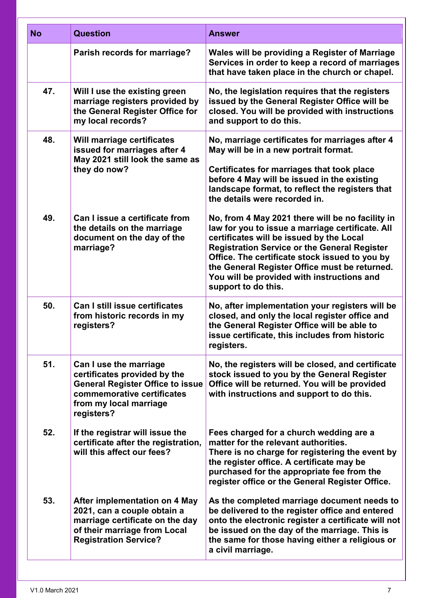| <b>No</b> | <b>Question</b>                                                                                                                                                         | <b>Answer</b>                                                                                                                                                                                                                                                                                                                                                                   |
|-----------|-------------------------------------------------------------------------------------------------------------------------------------------------------------------------|---------------------------------------------------------------------------------------------------------------------------------------------------------------------------------------------------------------------------------------------------------------------------------------------------------------------------------------------------------------------------------|
|           | Parish records for marriage?                                                                                                                                            | Wales will be providing a Register of Marriage<br>Services in order to keep a record of marriages<br>that have taken place in the church or chapel.                                                                                                                                                                                                                             |
| 47.       | Will I use the existing green<br>marriage registers provided by<br>the General Register Office for<br>my local records?                                                 | No, the legislation requires that the registers<br>issued by the General Register Office will be<br>closed. You will be provided with instructions<br>and support to do this.                                                                                                                                                                                                   |
| 48.       | Will marriage certificates<br>issued for marriages after 4<br>May 2021 still look the same as<br>they do now?                                                           | No, marriage certificates for marriages after 4<br>May will be in a new portrait format.<br>Certificates for marriages that took place<br>before 4 May will be issued in the existing<br>landscape format, to reflect the registers that<br>the details were recorded in.                                                                                                       |
| 49.       | Can I issue a certificate from<br>the details on the marriage<br>document on the day of the<br>marriage?                                                                | No, from 4 May 2021 there will be no facility in<br>law for you to issue a marriage certificate. All<br>certificates will be issued by the Local<br><b>Registration Service or the General Register</b><br>Office. The certificate stock issued to you by<br>the General Register Office must be returned.<br>You will be provided with instructions and<br>support to do this. |
| 50.       | <b>Can I still issue certificates</b><br>from historic records in my<br>registers?                                                                                      | No, after implementation your registers will be<br>closed, and only the local register office and<br>the General Register Office will be able to<br>issue certificate, this includes from historic<br>registers.                                                                                                                                                                |
| 51.       | Can I use the marriage<br>certificates provided by the<br><b>General Register Office to issue</b><br>commemorative certificates<br>from my local marriage<br>registers? | No, the registers will be closed, and certificate<br>stock issued to you by the General Register<br>Office will be returned. You will be provided<br>with instructions and support to do this.                                                                                                                                                                                  |
| 52.       | If the registrar will issue the<br>certificate after the registration,<br>will this affect our fees?                                                                    | Fees charged for a church wedding are a<br>matter for the relevant authorities.<br>There is no charge for registering the event by<br>the register office. A certificate may be<br>purchased for the appropriate fee from the<br>register office or the General Register Office.                                                                                                |
| 53.       | <b>After implementation on 4 May</b><br>2021, can a couple obtain a<br>marriage certificate on the day<br>of their marriage from Local<br><b>Registration Service?</b>  | As the completed marriage document needs to<br>be delivered to the register office and entered<br>onto the electronic register a certificate will not<br>be issued on the day of the marriage. This is<br>the same for those having either a religious or<br>a civil marriage.                                                                                                  |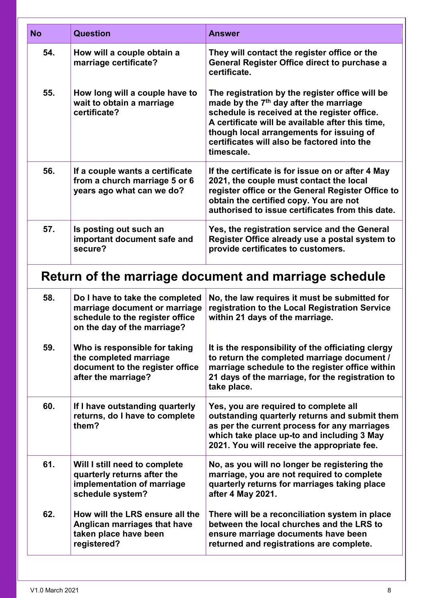| <b>No</b> | <b>Question</b>                                                                                                                    | <b>Answer</b>                                                                                                                                                                                                                                                                                                      |  |
|-----------|------------------------------------------------------------------------------------------------------------------------------------|--------------------------------------------------------------------------------------------------------------------------------------------------------------------------------------------------------------------------------------------------------------------------------------------------------------------|--|
| 54.       | How will a couple obtain a<br>marriage certificate?                                                                                | They will contact the register office or the<br><b>General Register Office direct to purchase a</b><br>certificate.                                                                                                                                                                                                |  |
| 55.       | How long will a couple have to<br>wait to obtain a marriage<br>certificate?                                                        | The registration by the register office will be<br>made by the 7 <sup>th</sup> day after the marriage<br>schedule is received at the register office.<br>A certificate will be available after this time,<br>though local arrangements for issuing of<br>certificates will also be factored into the<br>timescale. |  |
| 56.       | If a couple wants a certificate<br>from a church marriage 5 or 6<br>years ago what can we do?                                      | If the certificate is for issue on or after 4 May<br>2021, the couple must contact the local<br>register office or the General Register Office to<br>obtain the certified copy. You are not<br>authorised to issue certificates from this date.                                                                    |  |
| 57.       | Is posting out such an<br>important document safe and<br>secure?                                                                   | Yes, the registration service and the General<br>Register Office already use a postal system to<br>provide certificates to customers.                                                                                                                                                                              |  |
|           | Return of the marriage document and marriage schedule                                                                              |                                                                                                                                                                                                                                                                                                                    |  |
| 58.       | Do I have to take the completed<br>marriage document or marriage<br>schedule to the register office<br>on the day of the marriage? | No, the law requires it must be submitted for<br>registration to the Local Registration Service<br>within 21 days of the marriage.                                                                                                                                                                                 |  |
| 59.       | Who is responsible for taking<br>the completed marriage<br>document to the register office<br>after the marriage?                  | It is the responsibility of the officiating clergy<br>to return the completed marriage document /<br>marriage schedule to the register office within<br>21 days of the marriage, for the registration to<br>take place.                                                                                            |  |
| 60.       | If I have outstanding quarterly<br>returns, do I have to complete<br>them?                                                         | Yes, you are required to complete all<br>outstanding quarterly returns and submit them<br>as per the current process for any marriages<br>which take place up-to and including 3 May<br>2021. You will receive the appropriate fee.                                                                                |  |
| 61.       | Will I still need to complete<br>quarterly returns after the<br>implementation of marriage<br>schedule system?                     | No, as you will no longer be registering the<br>marriage, you are not required to complete<br>quarterly returns for marriages taking place<br>after 4 May 2021.                                                                                                                                                    |  |
| 62.       | How will the LRS ensure all the<br>Anglican marriages that have<br>taken place have been<br>registered?                            | There will be a reconciliation system in place<br>between the local churches and the LRS to<br>ensure marriage documents have been<br>returned and registrations are complete.                                                                                                                                     |  |